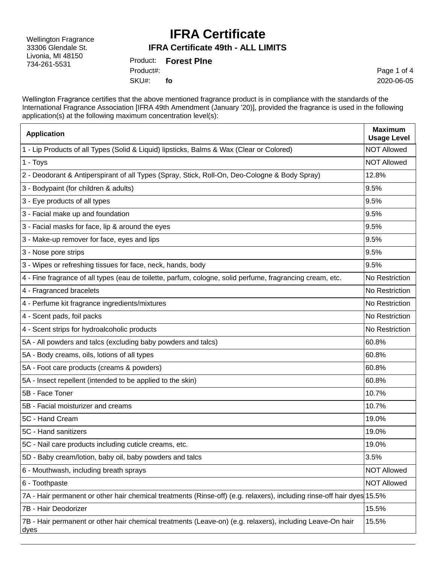Wellington Fragrance 33306 Glendale St. Livonia, MI 48150 734-261-5531

### **IFRA Certificate**

#### **IFRA Certificate 49th - ALL LIMITS**

Product: **Forest PIne** SKU#: Product#: **fo**

Page 1 of 4 2020-06-05

Wellington Fragrance certifies that the above mentioned fragrance product is in compliance with the standards of the International Fragrance Association [IFRA 49th Amendment (January '20)], provided the fragrance is used in the following application(s) at the following maximum concentration level(s):

| <b>Application</b>                                                                                                     | <b>Maximum</b><br><b>Usage Level</b> |
|------------------------------------------------------------------------------------------------------------------------|--------------------------------------|
| 1 - Lip Products of all Types (Solid & Liquid) lipsticks, Balms & Wax (Clear or Colored)                               | <b>NOT Allowed</b>                   |
| 1 - Toys                                                                                                               | <b>NOT Allowed</b>                   |
| 2 - Deodorant & Antiperspirant of all Types (Spray, Stick, Roll-On, Deo-Cologne & Body Spray)                          | 12.8%                                |
| 3 - Bodypaint (for children & adults)                                                                                  | 9.5%                                 |
| 3 - Eye products of all types                                                                                          | 9.5%                                 |
| 3 - Facial make up and foundation                                                                                      | 9.5%                                 |
| 3 - Facial masks for face, lip & around the eyes                                                                       | 9.5%                                 |
| 3 - Make-up remover for face, eyes and lips                                                                            | 9.5%                                 |
| 3 - Nose pore strips                                                                                                   | 9.5%                                 |
| 3 - Wipes or refreshing tissues for face, neck, hands, body                                                            | 9.5%                                 |
| 4 - Fine fragrance of all types (eau de toilette, parfum, cologne, solid perfume, fragrancing cream, etc.              | No Restriction                       |
| 4 - Fragranced bracelets                                                                                               | No Restriction                       |
| 4 - Perfume kit fragrance ingredients/mixtures                                                                         | No Restriction                       |
| 4 - Scent pads, foil packs                                                                                             | No Restriction                       |
| 4 - Scent strips for hydroalcoholic products                                                                           | No Restriction                       |
| 5A - All powders and talcs (excluding baby powders and talcs)                                                          | 60.8%                                |
| 5A - Body creams, oils, lotions of all types                                                                           | 60.8%                                |
| 5A - Foot care products (creams & powders)                                                                             | 60.8%                                |
| 5A - Insect repellent (intended to be applied to the skin)                                                             | 60.8%                                |
| 5B - Face Toner                                                                                                        | 10.7%                                |
| 5B - Facial moisturizer and creams                                                                                     | 10.7%                                |
| 5C - Hand Cream                                                                                                        | 19.0%                                |
| 5C - Hand sanitizers                                                                                                   | 19.0%                                |
| 5C - Nail care products including cuticle creams, etc.                                                                 | 19.0%                                |
| 5D - Baby cream/lotion, baby oil, baby powders and talcs                                                               | 3.5%                                 |
| 6 - Mouthwash, including breath sprays                                                                                 | <b>NOT Allowed</b>                   |
| 6 - Toothpaste                                                                                                         | <b>NOT Allowed</b>                   |
| 7A - Hair permanent or other hair chemical treatments (Rinse-off) (e.g. relaxers), including rinse-off hair dyes 15.5% |                                      |
| 7B - Hair Deodorizer                                                                                                   | 15.5%                                |
| 7B - Hair permanent or other hair chemical treatments (Leave-on) (e.g. relaxers), including Leave-On hair<br>dyes      | 15.5%                                |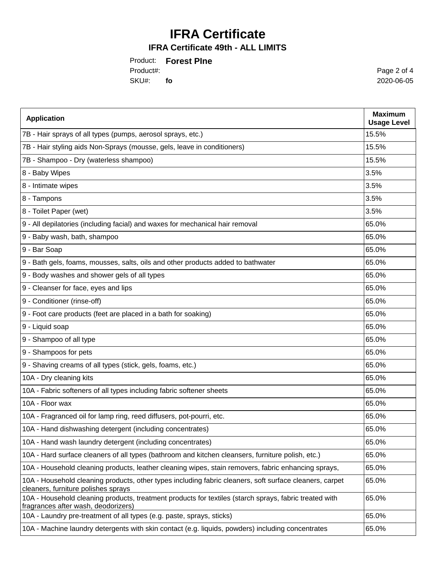# **IFRA Certificate**

#### **IFRA Certificate 49th - ALL LIMITS**

Product: **Forest PIne** SKU#: **fo** Product#:

Page 2 of 4 2020-06-05

| <b>Application</b>                                                                                                                             | <b>Maximum</b><br><b>Usage Level</b> |
|------------------------------------------------------------------------------------------------------------------------------------------------|--------------------------------------|
| 7B - Hair sprays of all types (pumps, aerosol sprays, etc.)                                                                                    | 15.5%                                |
| 7B - Hair styling aids Non-Sprays (mousse, gels, leave in conditioners)                                                                        | 15.5%                                |
| 7B - Shampoo - Dry (waterless shampoo)                                                                                                         | 15.5%                                |
| 8 - Baby Wipes                                                                                                                                 | 3.5%                                 |
| 8 - Intimate wipes                                                                                                                             | 3.5%                                 |
| 8 - Tampons                                                                                                                                    | 3.5%                                 |
| 8 - Toilet Paper (wet)                                                                                                                         | 3.5%                                 |
| 9 - All depilatories (including facial) and waxes for mechanical hair removal                                                                  | 65.0%                                |
| 9 - Baby wash, bath, shampoo                                                                                                                   | 65.0%                                |
| 9 - Bar Soap                                                                                                                                   | 65.0%                                |
| 9 - Bath gels, foams, mousses, salts, oils and other products added to bathwater                                                               | 65.0%                                |
| 9 - Body washes and shower gels of all types                                                                                                   | 65.0%                                |
| 9 - Cleanser for face, eyes and lips                                                                                                           | 65.0%                                |
| 9 - Conditioner (rinse-off)                                                                                                                    | 65.0%                                |
| 9 - Foot care products (feet are placed in a bath for soaking)                                                                                 | 65.0%                                |
| 9 - Liquid soap                                                                                                                                | 65.0%                                |
| 9 - Shampoo of all type                                                                                                                        | 65.0%                                |
| 9 - Shampoos for pets                                                                                                                          | 65.0%                                |
| 9 - Shaving creams of all types (stick, gels, foams, etc.)                                                                                     | 65.0%                                |
| 10A - Dry cleaning kits                                                                                                                        | 65.0%                                |
| 10A - Fabric softeners of all types including fabric softener sheets                                                                           | 65.0%                                |
| 10A - Floor wax                                                                                                                                | 65.0%                                |
| 10A - Fragranced oil for lamp ring, reed diffusers, pot-pourri, etc.                                                                           | 65.0%                                |
| 10A - Hand dishwashing detergent (including concentrates)                                                                                      | 65.0%                                |
| 10A - Hand wash laundry detergent (including concentrates)                                                                                     | 65.0%                                |
| 10A - Hard surface cleaners of all types (bathroom and kitchen cleansers, furniture polish, etc.)                                              | 65.0%                                |
| 10A - Household cleaning products, leather cleaning wipes, stain removers, fabric enhancing sprays,                                            | 65.0%                                |
| 10A - Household cleaning products, other types including fabric cleaners, soft surface cleaners, carpet<br>cleaners, furniture polishes sprays | 65.0%                                |
| 10A - Household cleaning products, treatment products for textiles (starch sprays, fabric treated with<br>fragrances after wash, deodorizers)  | 65.0%                                |
| 10A - Laundry pre-treatment of all types (e.g. paste, sprays, sticks)                                                                          | 65.0%                                |
| 10A - Machine laundry detergents with skin contact (e.g. liquids, powders) including concentrates                                              | 65.0%                                |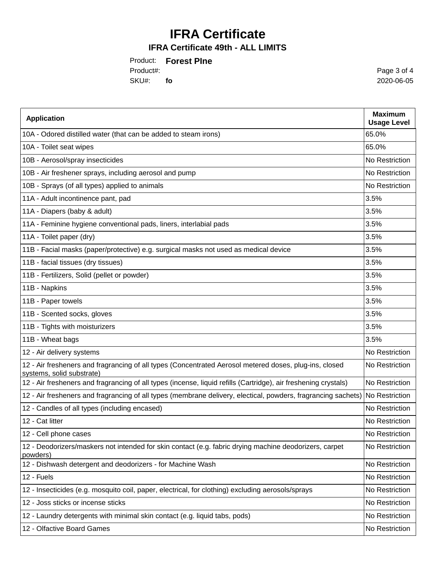# **IFRA Certificate**

### **IFRA Certificate 49th - ALL LIMITS**

Product: **Forest PIne** SKU#: **fo** Product#:

Page 3 of 4 2020-06-05

| <b>Application</b>                                                                                                                  | <b>Maximum</b><br><b>Usage Level</b> |
|-------------------------------------------------------------------------------------------------------------------------------------|--------------------------------------|
| 10A - Odored distilled water (that can be added to steam irons)                                                                     | 65.0%                                |
| 10A - Toilet seat wipes                                                                                                             | 65.0%                                |
| 10B - Aerosol/spray insecticides                                                                                                    | No Restriction                       |
| 10B - Air freshener sprays, including aerosol and pump                                                                              | No Restriction                       |
| 10B - Sprays (of all types) applied to animals                                                                                      | No Restriction                       |
| 11A - Adult incontinence pant, pad                                                                                                  | 3.5%                                 |
| 11A - Diapers (baby & adult)                                                                                                        | 3.5%                                 |
| 11A - Feminine hygiene conventional pads, liners, interlabial pads                                                                  | 3.5%                                 |
| 11A - Toilet paper (dry)                                                                                                            | 3.5%                                 |
| 11B - Facial masks (paper/protective) e.g. surgical masks not used as medical device                                                | 3.5%                                 |
| 11B - facial tissues (dry tissues)                                                                                                  | 3.5%                                 |
| 11B - Fertilizers, Solid (pellet or powder)                                                                                         | 3.5%                                 |
| 11B - Napkins                                                                                                                       | 3.5%                                 |
| 11B - Paper towels                                                                                                                  | 3.5%                                 |
| 11B - Scented socks, gloves                                                                                                         | 3.5%                                 |
| 11B - Tights with moisturizers                                                                                                      | 3.5%                                 |
| 11B - Wheat bags                                                                                                                    | 3.5%                                 |
| 12 - Air delivery systems                                                                                                           | No Restriction                       |
| 12 - Air fresheners and fragrancing of all types (Concentrated Aerosol metered doses, plug-ins, closed<br>systems, solid substrate) | No Restriction                       |
| 12 - Air fresheners and fragrancing of all types (incense, liquid refills (Cartridge), air freshening crystals)                     | No Restriction                       |
| 12 - Air fresheners and fragrancing of all types (membrane delivery, electical, powders, fragrancing sachets)                       | No Restriction                       |
| 12 - Candles of all types (including encased)                                                                                       | No Restriction                       |
| 12 - Cat litter                                                                                                                     | No Restriction                       |
| 12 - Cell phone cases                                                                                                               | No Restriction                       |
| 12 - Deodorizers/maskers not intended for skin contact (e.g. fabric drying machine deodorizers, carpet<br>powders)                  | No Restriction                       |
| 12 - Dishwash detergent and deodorizers - for Machine Wash                                                                          | No Restriction                       |
| 12 - Fuels                                                                                                                          | No Restriction                       |
| 12 - Insecticides (e.g. mosquito coil, paper, electrical, for clothing) excluding aerosols/sprays                                   | No Restriction                       |
| 12 - Joss sticks or incense sticks                                                                                                  | No Restriction                       |
| 12 - Laundry detergents with minimal skin contact (e.g. liquid tabs, pods)                                                          | No Restriction                       |
| 12 - Olfactive Board Games                                                                                                          | No Restriction                       |